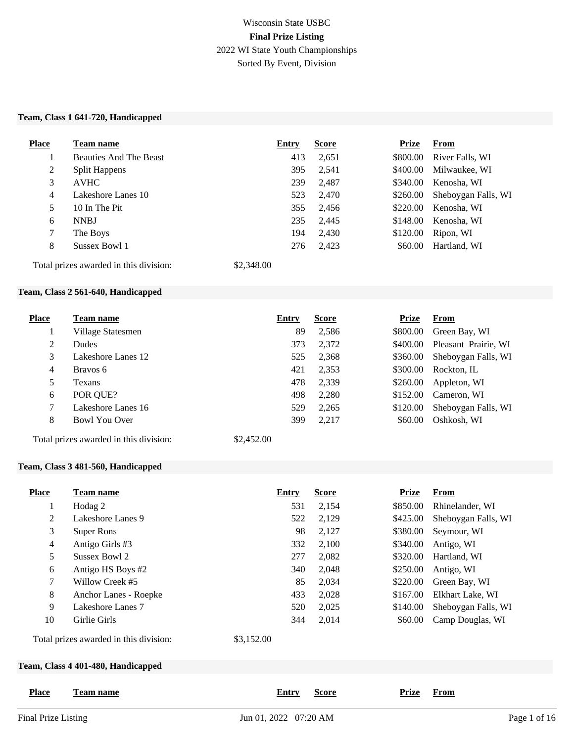## Wisconsin State USBC **Final Prize Listing** 2022 WI State Youth Championships Sorted By Event, Division

#### **Team, Class 1 641-720, Handicapped**

| <b>Place</b> | Team name                              | Entry      | <b>Score</b> | <b>Prize</b> | <b>From</b>         |
|--------------|----------------------------------------|------------|--------------|--------------|---------------------|
|              | <b>Beauties And The Beast</b>          | 413        | 2,651        | \$800.00     | River Falls, WI     |
| 2            | <b>Split Happens</b>                   | 395        | 2,541        | \$400.00     | Milwaukee, WI       |
| 3            | <b>AVHC</b>                            | 239        | 2,487        | \$340.00     | Kenosha, WI         |
| 4            | Lakeshore Lanes 10                     | 523        | 2,470        | \$260.00     | Sheboygan Falls, WI |
| 5            | 10 In The Pit                          | 355        | 2,456        | \$220.00     | Kenosha, WI         |
| 6            | <b>NNBJ</b>                            | 235        | 2,445        | \$148.00     | Kenosha, WI         |
|              | The Boys                               | 194        | 2,430        | \$120.00     | Ripon, WI           |
| 8            | Sussex Bowl 1                          | 276        | 2,423        | \$60.00      | Hartland, WI        |
|              | Total prizes awarded in this division: | \$2,348.00 |              |              |                     |

#### **Team, Class 2 561-640, Handicapped**

| <b>Place</b> | Team name                              | Entry      | <b>Score</b> | <b>Prize</b> | <b>From</b>          |
|--------------|----------------------------------------|------------|--------------|--------------|----------------------|
|              | Village Statesmen                      | 89         | 2,586        | \$800.00     | Green Bay, WI        |
| 2            | <b>Dudes</b>                           | 373        | 2,372        | \$400.00     | Pleasant Prairie, WI |
| 3            | Lakeshore Lanes 12                     | 525        | 2,368        | \$360.00     | Sheboygan Falls, WI  |
| 4            | Bravos 6                               | 421        | 2,353        | \$300.00     | Rockton, IL          |
| 5            | Texans                                 | 478        | 2,339        | \$260.00     | Appleton, WI         |
| 6            | POR QUE?                               | 498        | 2,280        | \$152.00     | Cameron, WI          |
| 7            | Lakeshore Lanes 16                     | 529        | 2,265        | \$120.00     | Sheboygan Falls, WI  |
| 8            | <b>Bowl You Over</b>                   | 399        | 2,217        | \$60.00      | Oshkosh, WI          |
|              | Total prizes awarded in this division: | \$2,452.00 |              |              |                      |

#### **Team, Class 3 481-560, Handicapped**

| <b>Place</b> | <b>Team name</b>                       | Entry      | <b>Score</b> | <b>Prize</b> | From                |
|--------------|----------------------------------------|------------|--------------|--------------|---------------------|
| $\perp$      | Hodag 2                                | 531        | 2,154        | \$850.00     | Rhinelander, WI     |
| 2            | Lakeshore Lanes 9                      | 522        | 2,129        | \$425.00     | Sheboygan Falls, WI |
| 3            | Super Rons                             | 98         | 2,127        | \$380.00     | Seymour, WI         |
| 4            | Antigo Girls #3                        | 332        | 2,100        | \$340.00     | Antigo, WI          |
| 5            | Sussex Bowl 2                          | 277        | 2,082        | \$320.00     | Hartland, WI        |
| 6            | Antigo HS Boys #2                      | 340        | 2,048        | \$250.00     | Antigo, WI          |
| 7            | Willow Creek #5                        | 85         | 2,034        | \$220.00     | Green Bay, WI       |
| 8            | Anchor Lanes - Roepke                  | 433        | 2,028        | \$167.00     | Elkhart Lake, WI    |
| 9            | Lakeshore Lanes 7                      | 520        | 2,025        | \$140.00     | Sheboygan Falls, WI |
| 10           | Girlie Girls                           | 344        | 2,014        | \$60.00      | Camp Douglas, WI    |
|              | Total prizes awarded in this division: | \$3,152.00 |              |              |                     |

## **Team, Class 4 401-480, Handicapped**

|                     | $1$ cam, Class $\tau$ $\tau$ <sub>01</sub> - $\tau$ <sub>00</sub> , Hanuicappeu |                              |                   |              |
|---------------------|---------------------------------------------------------------------------------|------------------------------|-------------------|--------------|
| <b>Place</b>        | Team name                                                                       | <b>Entry</b><br><b>Score</b> | <u>Prize</u> From |              |
| Final Prize Listing |                                                                                 | Jun 01, 2022 07:20 AM        |                   | Page 1 of 16 |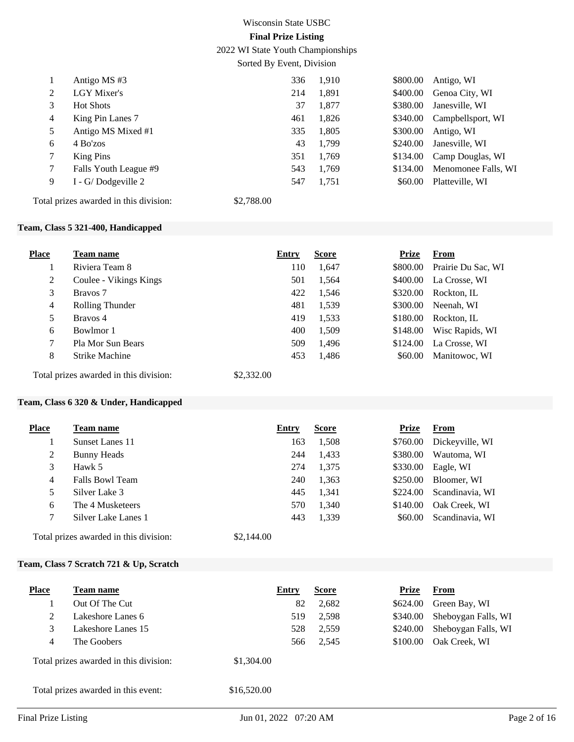2022 WI State Youth Championships

Sorted By Event, Division

|   | Antigo MS#3                            |            | 336 | 1,910 | \$800.00 | Antigo, WI          |
|---|----------------------------------------|------------|-----|-------|----------|---------------------|
| 2 | LGY Mixer's                            | 214        |     | 1,891 | \$400.00 | Genoa City, WI      |
| 3 | <b>Hot Shots</b>                       |            | 37  | 1,877 | \$380.00 | Janesville, WI      |
| 4 | King Pin Lanes 7                       | 461        |     | 1,826 | \$340.00 | Campbellsport, WI   |
| 5 | Antigo MS Mixed #1                     | 335        |     | 1,805 | \$300.00 | Antigo, WI          |
| 6 | 4 Bo'zos                               |            | 43  | 1,799 | \$240.00 | Janesville, WI      |
|   | <b>King Pins</b>                       | 351        |     | 1,769 | \$134.00 | Camp Douglas, WI    |
|   | Falls Youth League #9                  | 543        |     | 1,769 | \$134.00 | Menomonee Falls, WI |
| 9 | I - G/Dodgeville 2                     | 547        |     | 1,751 | \$60.00  | Platteville, WI     |
|   | Total prizes awarded in this division: | \$2,788.00 |     |       |          |                     |

#### **Team, Class 5 321-400, Handicapped**

| <b>Place</b> | Team name                              | Entry      | <b>Score</b> | <b>Prize</b> | From               |
|--------------|----------------------------------------|------------|--------------|--------------|--------------------|
|              | Riviera Team 8                         | 110        | 1,647        | \$800.00     | Prairie Du Sac, WI |
| 2            | Coulee - Vikings Kings                 | 501        | 1,564        | \$400.00     | La Crosse, WI      |
| 3            | Brayos 7                               | 422        | 1,546        | \$320.00     | Rockton, IL        |
| 4            | Rolling Thunder                        | 481        | 1,539        | \$300.00     | Neenah, WI         |
| 5            | Bravos 4                               | 419        | 1,533        | \$180.00     | Rockton, IL        |
| 6            | Bowlmor 1                              | 400        | 1,509        | \$148.00     | Wisc Rapids, WI    |
|              | <b>Pla Mor Sun Bears</b>               | 509        | 1,496        | \$124.00     | La Crosse, WI      |
| 8            | <b>Strike Machine</b>                  | 453        | 1,486        | \$60.00      | Manitowoc, WI      |
|              | Total prizes awarded in this division: | \$2,332.00 |              |              |                    |

#### **Team, Class 6 320 & Under, Handicapped**

| <b>Place</b> | Team name                                                                       | Entry | <b>Score</b> | <b>Prize</b> | From            |
|--------------|---------------------------------------------------------------------------------|-------|--------------|--------------|-----------------|
|              | Sunset Lanes 11                                                                 | 163   | 1,508        | \$760.00     | Dickeyville, WI |
| 2            | <b>Bunny Heads</b>                                                              | 244   | 1,433        | \$380.00     | Wautoma, WI     |
| 3            | Hawk 5                                                                          | 274   | 1,375        | \$330.00     | Eagle, WI       |
| 4            | Falls Bowl Team                                                                 | 240   | 1,363        | \$250.00     | Bloomer, WI     |
|              | Silver Lake 3                                                                   | 445   | 1.341        | \$224.00     | Scandinavia, WI |
| 6            | The 4 Musketeers                                                                | 570   | 1,340        | \$140.00     | Oak Creek. WI   |
|              | Silver Lake Lanes 1                                                             | 443   | 1,339        | \$60.00      | Scandinavia, WI |
|              | the contract of the contract of the contract of the contract of the contract of |       |              |              |                 |

Total prizes awarded in this division: \$2,144.00

## **Team, Class 7 Scratch 721 & Up, Scratch**

| <b>Place</b> | <b>Team name</b>                       | Entry       | <b>Score</b> | <b>Prize</b> | From                |
|--------------|----------------------------------------|-------------|--------------|--------------|---------------------|
|              | Out Of The Cut                         | 82          | 2,682        | \$624.00     | Green Bay, WI       |
| 2            | Lakeshore Lanes 6                      | 519         | 2,598        | \$340.00     | Sheboygan Falls, WI |
| 3            | Lakeshore Lanes 15                     | 528         | 2,559        | \$240.00     | Sheboygan Falls, WI |
| 4            | The Goobers                            | 566         | 2,545        | \$100.00     | Oak Creek, WI       |
|              | Total prizes awarded in this division: | \$1,304.00  |              |              |                     |
|              | Total prizes awarded in this event:    | \$16,520.00 |              |              |                     |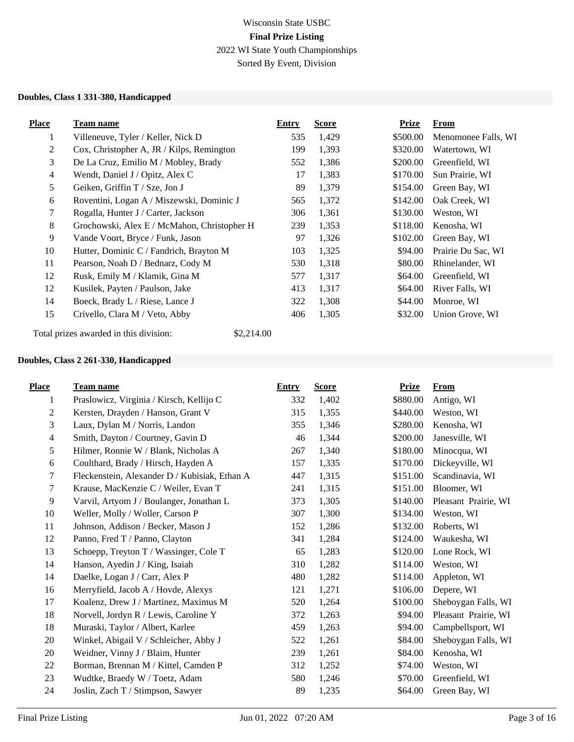## Wisconsin State USBC **Final Prize Listing** 2022 WI State Youth Championships Sorted By Event, Division

#### **Doubles, Class 1 331-380, Handicapped**

| <b>Place</b> | Team name                                            | Entry | <b>Score</b> | <b>Prize</b> | <b>From</b>         |
|--------------|------------------------------------------------------|-------|--------------|--------------|---------------------|
| $\perp$      | Villeneuve, Tyler / Keller, Nick D                   | 535   | 1,429        | \$500.00     | Menomonee Falls, WI |
| 2            | Cox, Christopher A, JR / Kilps, Remington            | 199   | 1,393        | \$320.00     | Watertown, WI       |
| 3            | De La Cruz, Emilio M / Mobley, Brady                 | 552   | 1,386        | \$200.00     | Greenfield, WI      |
| 4            | Wendt, Daniel J / Opitz, Alex C                      | 17    | 1,383        | \$170.00     | Sun Prairie, WI     |
| 5            | Geiken, Griffin T / Sze, Jon J                       | 89    | 1,379        | \$154.00     | Green Bay, WI       |
| 6            | Roventini, Logan A / Miszewski, Dominic J            | 565   | 1,372        | \$142.00     | Oak Creek, WI       |
| 7            | Rogalla, Hunter J / Carter, Jackson                  | 306   | 1,361        | \$130.00     | Weston, WI          |
| 8            | Grochowski, Alex E / McMahon, Christopher H          | 239   | 1,353        | \$118.00     | Kenosha, WI         |
| 9            | Vande Voort, Bryce / Funk, Jason                     | 97    | 1,326        | \$102.00     | Green Bay, WI       |
| 10           | Hutter, Dominic C / Fandrich, Brayton M              | 103   | 1,325        | \$94.00      | Prairie Du Sac, WI  |
| 11           | Pearson, Noah D / Bednarz, Cody M                    | 530   | 1,318        | \$80.00      | Rhinelander, WI     |
| 12           | Rusk, Emily M / Klamik, Gina M                       | 577   | 1,317        | \$64.00      | Greenfield, WI      |
| 12           | Kusilek, Payten / Paulson, Jake                      | 413   | 1,317        | \$64.00      | River Falls, WI     |
| 14           | Boeck, Brady L / Riese, Lance J                      | 322   | 1,308        | \$44.00      | Monroe, WI          |
| 15           | Crivello, Clara M / Veto, Abby                       | 406   | 1,305        | \$32.00      | Union Grove, WI     |
|              | Total prizes awarded in this division:<br>\$2,214.00 |       |              |              |                     |

# **Doubles, Class 2 261-330, Handicapped**

| <b>Place</b>   | <b>Team name</b>                              | <b>Entry</b> | <b>Score</b> | Prize    | <b>From</b>          |
|----------------|-----------------------------------------------|--------------|--------------|----------|----------------------|
| 1              | Praslowicz, Virginia / Kirsch, Kellijo C      | 332          | 1,402        | \$880.00 | Antigo, WI           |
| $\overline{2}$ | Kersten, Drayden / Hanson, Grant V            | 315          | 1,355        | \$440.00 | Weston, WI           |
| $\mathfrak{Z}$ | Laux, Dylan M / Norris, Landon                | 355          | 1,346        | \$280.00 | Kenosha, WI          |
| $\overline{4}$ | Smith, Dayton / Courtney, Gavin D             | 46           | 1,344        | \$200.00 | Janesville, WI       |
| 5              | Hilmer, Ronnie W / Blank, Nicholas A          | 267          | 1,340        | \$180.00 | Minocqua, WI         |
| 6              | Coulthard, Brady / Hirsch, Hayden A           | 157          | 1,335        | \$170.00 | Dickeyville, WI      |
| 7              | Fleckenstein, Alexander D / Kubisiak, Ethan A | 447          | 1,315        | \$151.00 | Scandinavia, WI      |
| 7              | Krause, MacKenzie C / Weiler, Evan T          | 241          | 1,315        | \$151.00 | Bloomer, WI          |
| $\overline{9}$ | Varvil, Artyom J / Boulanger, Jonathan L      | 373          | 1,305        | \$140.00 | Pleasant Prairie, WI |
| 10             | Weller, Molly / Woller, Carson P              | 307          | 1,300        | \$134.00 | Weston, WI           |
| 11             | Johnson, Addison / Becker, Mason J            | 152          | 1,286        | \$132.00 | Roberts, WI          |
| 12             | Panno, Fred T / Panno, Clayton                | 341          | 1,284        | \$124.00 | Waukesha, WI         |
| 13             | Schoepp, Treyton T / Wassinger, Cole T        | 65           | 1,283        | \$120.00 | Lone Rock, WI        |
| 14             | Hanson, Ayedin J / King, Isaiah               | 310          | 1,282        | \$114.00 | Weston, WI           |
| 14             | Daelke, Logan J / Carr, Alex P                | 480          | 1,282        | \$114.00 | Appleton, WI         |
| 16             | Merryfield, Jacob A / Hovde, Alexys           | 121          | 1,271        | \$106.00 | Depere, WI           |
| 17             | Koalenz, Drew J / Martinez, Maximus M         | 520          | 1,264        | \$100.00 | Sheboygan Falls, WI  |
| 18             | Norvell, Jordyn R / Lewis, Caroline Y         | 372          | 1,263        | \$94.00  | Pleasant Prairie, WI |
| 18             | Muraski, Taylor / Albert, Karlee              | 459          | 1,263        | \$94.00  | Campbellsport, WI    |
| 20             | Winkel, Abigail V / Schleicher, Abby J        | 522          | 1,261        | \$84.00  | Sheboygan Falls, WI  |
| 20             | Weidner, Vinny J / Blaim, Hunter              | 239          | 1,261        | \$84.00  | Kenosha, WI          |
| 22             | Borman, Brennan M / Kittel, Camden P          | 312          | 1,252        | \$74.00  | Weston, WI           |
| 23             | Wudtke, Braedy W / Toetz, Adam                | 580          | 1,246        | \$70.00  | Greenfield, WI       |
| 24             | Joslin, Zach T / Stimpson, Sawyer             | 89           | 1,235        | \$64.00  | Green Bay, WI        |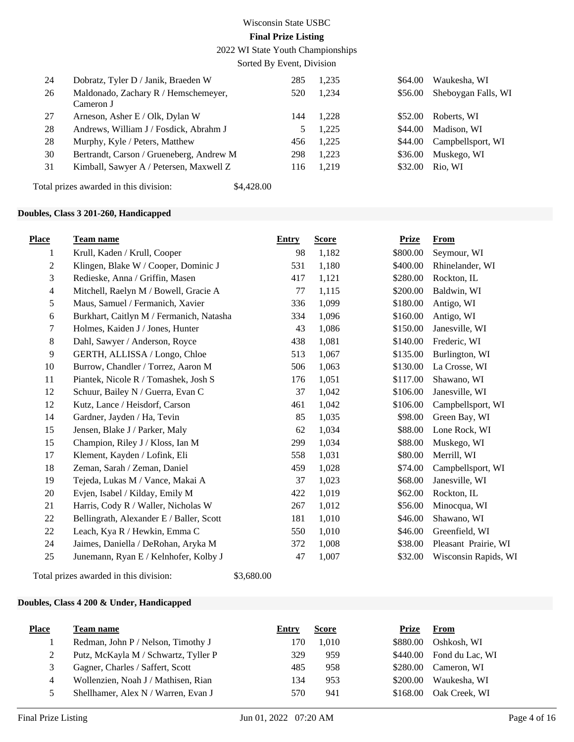2022 WI State Youth Championships

Sorted By Event, Division

| 24 | Dobratz, Tyler D / Janik, Braeden W               | 285 | 1,235 | \$64.00 | Waukesha, WI        |
|----|---------------------------------------------------|-----|-------|---------|---------------------|
| 26 | Maldonado, Zachary R / Hemschemeyer,<br>Cameron J | 520 | 1,234 | \$56.00 | Sheboygan Falls, WI |
| 27 | Arneson, Asher E / Olk, Dylan W                   | 144 | 1,228 | \$52.00 | Roberts, WI         |
| 28 | Andrews, William J / Fosdick, Abrahm J            | 5.  | 1,225 | \$44.00 | Madison, WI         |
| 28 | Murphy, Kyle / Peters, Matthew                    | 456 | 1,225 | \$44.00 | Campbellsport, WI   |
| 30 | Bertrandt, Carson / Grueneberg, Andrew M          | 298 | 1,223 | \$36.00 | Muskego, WI         |
| 31 | Kimball, Sawyer A / Petersen, Maxwell Z           | 116 | 1.219 | \$32.00 | Rio, WI             |
|    |                                                   |     |       |         |                     |

Total prizes awarded in this division: \$4,428.00

#### **Doubles, Class 3 201-260, Handicapped**

| <b>Place</b>             | <u>Team name</u>                         | <b>Entry</b> | <b>Score</b> | <b>Prize</b> | <b>From</b>          |
|--------------------------|------------------------------------------|--------------|--------------|--------------|----------------------|
| 1                        | Krull, Kaden / Krull, Cooper             | 98           | 1,182        | \$800.00     | Seymour, WI          |
| $\overline{2}$           | Klingen, Blake W / Cooper, Dominic J     | 531          | 1,180        | \$400.00     | Rhinelander, WI      |
| 3                        | Redieske, Anna / Griffin, Masen          | 417          | 1,121        | \$280.00     | Rockton, IL          |
| $\overline{\mathcal{A}}$ | Mitchell, Raelyn M / Bowell, Gracie A    | 77           | 1,115        | \$200.00     | Baldwin, WI          |
| 5                        | Maus, Samuel / Fermanich, Xavier         | 336          | 1,099        | \$180.00     | Antigo, WI           |
| 6                        | Burkhart, Caitlyn M / Fermanich, Natasha | 334          | 1,096        | \$160.00     | Antigo, WI           |
| 7                        | Holmes, Kaiden J / Jones, Hunter         | 43           | 1,086        | \$150.00     | Janesville, WI       |
| $8\,$                    | Dahl, Sawyer / Anderson, Royce           | 438          | 1,081        | \$140.00     | Frederic, WI         |
| 9                        | GERTH, ALLISSA / Longo, Chloe            | 513          | 1,067        | \$135.00     | Burlington, WI       |
| 10                       | Burrow, Chandler / Torrez, Aaron M       | 506          | 1,063        | \$130.00     | La Crosse, WI        |
| 11                       | Piantek, Nicole R / Tomashek, Josh S     | 176          | 1,051        | \$117.00     | Shawano, WI          |
| 12                       | Schuur, Bailey N / Guerra, Evan C        | 37           | 1,042        | \$106.00     | Janesville, WI       |
| 12                       | Kutz, Lance / Heisdorf, Carson           | 461          | 1,042        | \$106.00     | Campbellsport, WI    |
| 14                       | Gardner, Jayden / Ha, Tevin              | 85           | 1,035        | \$98.00      | Green Bay, WI        |
| 15                       | Jensen, Blake J / Parker, Maly           | 62           | 1,034        | \$88.00      | Lone Rock, WI        |
| 15                       | Champion, Riley J / Kloss, Ian M         | 299          | 1,034        | \$88.00      | Muskego, WI          |
| 17                       | Klement, Kayden / Lofink, Eli            | 558          | 1,031        | \$80.00      | Merrill, WI          |
| 18                       | Zeman, Sarah / Zeman, Daniel             | 459          | 1,028        | \$74.00      | Campbellsport, WI    |
| 19                       | Tejeda, Lukas M / Vance, Makai A         | 37           | 1,023        | \$68.00      | Janesville, WI       |
| 20                       | Evjen, Isabel / Kilday, Emily M          | 422          | 1,019        | \$62.00      | Rockton, IL          |
| 21                       | Harris, Cody R / Waller, Nicholas W      | 267          | 1,012        | \$56.00      | Minocqua, WI         |
| $22\,$                   | Bellingrath, Alexander E / Baller, Scott | 181          | 1,010        | \$46.00      | Shawano, WI          |
| $22\,$                   | Leach, Kya R / Hewkin, Emma C            | 550          | 1,010        | \$46.00      | Greenfield, WI       |
| 24                       | Jaimes, Daniella / DeRohan, Aryka M      | 372          | 1,008        | \$38.00      | Pleasant Prairie, WI |
| 25                       | Junemann, Ryan E / Kelnhofer, Kolby J    | 47           | 1,007        | \$32.00      | Wisconsin Rapids, WI |
|                          | Total prizes awarded in this division:   | \$3,680.00   |              |              |                      |

#### **Doubles, Class 4 200 & Under, Handicapped**

| <b>Place</b> | Team name                            | Entry | <b>Score</b> | Prize    | From                     |
|--------------|--------------------------------------|-------|--------------|----------|--------------------------|
|              | Redman, John P / Nelson, Timothy J   | 170.  | 1.010        | \$880.00 | Oshkosh, WI              |
|              | Putz, McKayla M / Schwartz, Tyller P | 329   | 959          |          | \$440.00 Fond du Lac, WI |
|              | Gagner, Charles / Saffert, Scott     | 485   | 958          | \$280.00 | Cameron, WI              |
| 4            | Wollenzien, Noah J / Mathisen, Rian  | 134   | 953          | \$200.00 | Waukesha, WI             |
|              | Shellhamer, Alex N / Warren, Evan J  | 570   | 941          | \$168.00 | Oak Creek, WI            |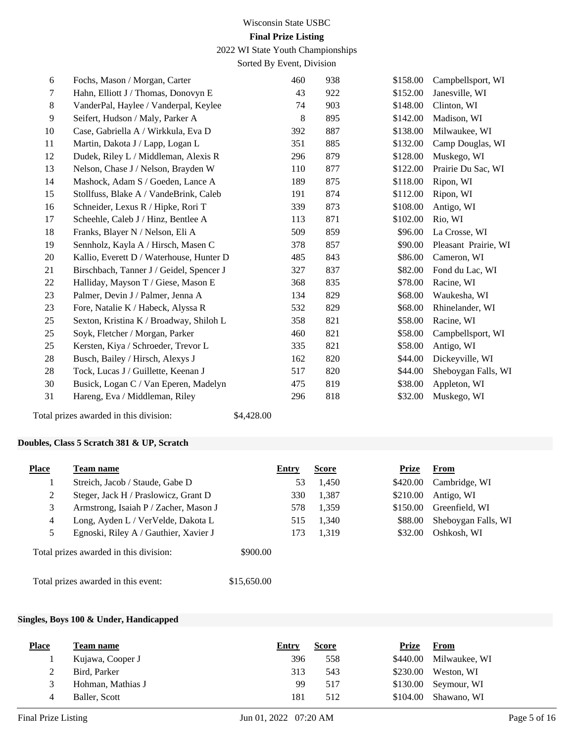2022 WI State Youth Championships

Sorted By Event, Division

| 6       | Fochs, Mason / Morgan, Carter            | 460 | 938 | \$158.00 | Campbellsport, WI    |
|---------|------------------------------------------|-----|-----|----------|----------------------|
| 7       | Hahn, Elliott J / Thomas, Donovyn E      | 43  | 922 | \$152.00 | Janesville, WI       |
| $\,8\,$ | VanderPal, Haylee / Vanderpal, Keylee    | 74  | 903 | \$148.00 | Clinton, WI          |
| 9       | Seifert, Hudson / Maly, Parker A         | 8   | 895 | \$142.00 | Madison, WI          |
| 10      | Case, Gabriella A / Wirkkula, Eva D      | 392 | 887 | \$138.00 | Milwaukee, WI        |
| 11      | Martin, Dakota J / Lapp, Logan L         | 351 | 885 | \$132.00 | Camp Douglas, WI     |
| 12      | Dudek, Riley L / Middleman, Alexis R     | 296 | 879 | \$128.00 | Muskego, WI          |
| 13      | Nelson, Chase J / Nelson, Brayden W      | 110 | 877 | \$122.00 | Prairie Du Sac, WI   |
| 14      | Mashock, Adam S / Goeden, Lance A        | 189 | 875 | \$118.00 | Ripon, WI            |
| 15      | Stollfuss, Blake A / VandeBrink, Caleb   | 191 | 874 | \$112.00 | Ripon, WI            |
| 16      | Schneider, Lexus R / Hipke, Rori T       | 339 | 873 | \$108.00 | Antigo, WI           |
| 17      | Scheehle, Caleb J / Hinz, Bentlee A      | 113 | 871 | \$102.00 | Rio, WI              |
| 18      | Franks, Blayer N / Nelson, Eli A         | 509 | 859 | \$96.00  | La Crosse, WI        |
| 19      | Sennholz, Kayla A / Hirsch, Masen C      | 378 | 857 | \$90.00  | Pleasant Prairie, WI |
| 20      | Kallio, Everett D / Waterhouse, Hunter D | 485 | 843 | \$86.00  | Cameron, WI          |
| 21      | Birschbach, Tanner J / Geidel, Spencer J | 327 | 837 | \$82.00  | Fond du Lac, WI      |
| 22      | Halliday, Mayson T / Giese, Mason E      | 368 | 835 | \$78.00  | Racine, WI           |
| 23      | Palmer, Devin J / Palmer, Jenna A        | 134 | 829 | \$68.00  | Waukesha, WI         |
| 23      | Fore, Natalie K / Habeck, Alyssa R       | 532 | 829 | \$68.00  | Rhinelander, WI      |
| 25      | Sexton, Kristina K / Broadway, Shiloh L  | 358 | 821 | \$58.00  | Racine, WI           |
| 25      | Soyk, Fletcher / Morgan, Parker          | 460 | 821 | \$58.00  | Campbellsport, WI    |
| 25      | Kersten, Kiya / Schroeder, Trevor L      | 335 | 821 | \$58.00  | Antigo, WI           |
| 28      | Busch, Bailey / Hirsch, Alexys J         | 162 | 820 | \$44.00  | Dickeyville, WI      |
| 28      | Tock, Lucas J / Guillette, Keenan J      | 517 | 820 | \$44.00  | Sheboygan Falls, WI  |
| 30      | Busick, Logan C / Van Eperen, Madelyn    | 475 | 819 | \$38.00  | Appleton, WI         |
| 31      | Hareng, Eva / Middleman, Riley           | 296 | 818 | \$32.00  | Muskego, WI          |
|         |                                          |     |     |          |                      |

Total prizes awarded in this division: \$4,428.00

## **Doubles, Class 5 Scratch 381 & UP, Scratch**

| <b>Place</b>                           | <b>Team name</b>                      |             | Entry | <b>Score</b> | <b>Prize</b> | <b>From</b>         |
|----------------------------------------|---------------------------------------|-------------|-------|--------------|--------------|---------------------|
|                                        | Streich, Jacob / Staude, Gabe D       |             | 53    | 1,450        | \$420.00     | Cambridge, WI       |
| 2                                      | Steger, Jack H / Praslowicz, Grant D  |             | 330   | 1,387        | \$210.00     | Antigo, WI          |
| 3                                      | Armstrong, Isaiah P / Zacher, Mason J |             | 578   | 1,359        | \$150.00     | Greenfield, WI      |
| $\overline{4}$                         | Long, Ayden L / VerVelde, Dakota L    |             | 515   | 1,340        | \$88.00      | Sheboygan Falls, WI |
| 5                                      | Egnoski, Riley A / Gauthier, Xavier J |             | 173   | 1,319        | \$32.00      | Oshkosh, WI         |
| Total prizes awarded in this division: |                                       | \$900.00    |       |              |              |                     |
|                                        | Total prizes awarded in this event:   | \$15,650.00 |       |              |              |                     |

#### **Singles, Boys 100 & Under, Handicapped**

| <b>Place</b> | Team name         | Entry | <b>Score</b> | Prize    | From          |
|--------------|-------------------|-------|--------------|----------|---------------|
|              | Kujawa, Cooper J  | 396   | 558          | \$440.00 | Milwaukee, WI |
|              | Bird, Parker      | 313   | 543          | \$230.00 | Weston, WI    |
| 3            | Hohman, Mathias J | 99    | 517          | \$130.00 | Seymour, WI   |
| 4            | Baller, Scott     | 181   | 512          | \$104.00 | Shawano, WI   |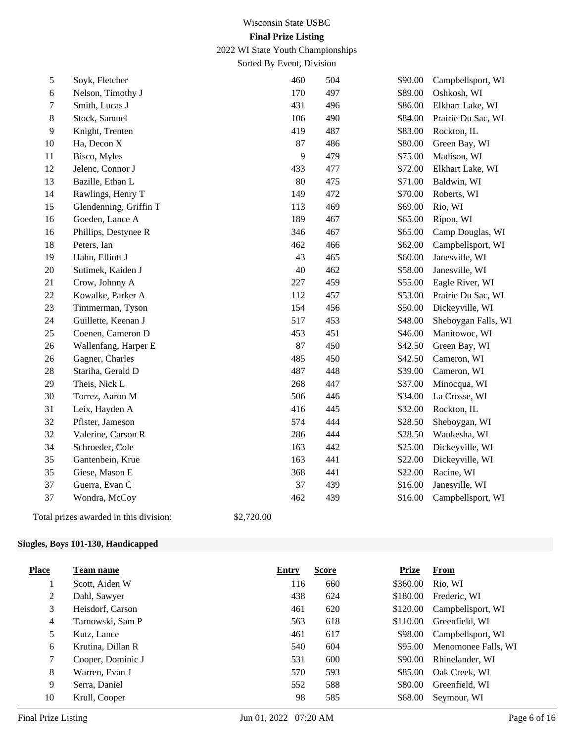2022 WI State Youth Championships

Sorted By Event, Division

| 5       | Soyk, Fletcher                         | 460        | 504       | \$90.00 | Campbellsport, WI   |
|---------|----------------------------------------|------------|-----------|---------|---------------------|
| 6       | Nelson, Timothy J                      | 170        | 497       | \$89.00 | Oshkosh, WI         |
| 7       | Smith, Lucas J                         | 431        | 496       | \$86.00 | Elkhart Lake, WI    |
| $\,8\,$ | Stock, Samuel                          | 106        | 490       | \$84.00 | Prairie Du Sac, WI  |
| 9       | Knight, Trenten                        | 419        | 487       | \$83.00 | Rockton, IL         |
| 10      | Ha, Decon X                            | 87         | 486       | \$80.00 | Green Bay, WI       |
| 11      | Bisco, Myles                           |            | 9<br>479  | \$75.00 | Madison, WI         |
| 12      | Jelenc, Connor J                       | 433        | 477       | \$72.00 | Elkhart Lake, WI    |
| 13      | Bazille, Ethan L                       |            | 80<br>475 | \$71.00 | Baldwin, WI         |
| 14      | Rawlings, Henry T                      | 149        | 472       | \$70.00 | Roberts, WI         |
| 15      | Glendenning, Griffin T                 | 113        | 469       | \$69.00 | Rio, WI             |
| 16      | Goeden, Lance A                        | 189        | 467       | \$65.00 | Ripon, WI           |
| 16      | Phillips, Destynee R                   | 346        | 467       | \$65.00 | Camp Douglas, WI    |
| 18      | Peters, Ian                            | 462        | 466       | \$62.00 | Campbellsport, WI   |
| 19      | Hahn, Elliott J                        | 43         | 465       | \$60.00 | Janesville, WI      |
| $20\,$  | Sutimek, Kaiden J                      |            | 40<br>462 | \$58.00 | Janesville, WI      |
| 21      | Crow, Johnny A                         | 227        | 459       | \$55.00 | Eagle River, WI     |
| $22\,$  | Kowalke, Parker A                      | 112        | 457       | \$53.00 | Prairie Du Sac, WI  |
| 23      | Timmerman, Tyson                       | 154        | 456       | \$50.00 | Dickeyville, WI     |
| 24      | Guillette, Keenan J                    | 517        | 453       | \$48.00 | Sheboygan Falls, WI |
| 25      | Coenen, Cameron D                      | 453        | 451       | \$46.00 | Manitowoc, WI       |
| 26      | Wallenfang, Harper E                   | 87         | 450       | \$42.50 | Green Bay, WI       |
| $26\,$  | Gagner, Charles                        | 485        | 450       | \$42.50 | Cameron, WI         |
| 28      | Stariha, Gerald D                      | 487        | 448       | \$39.00 | Cameron, WI         |
| 29      | Theis, Nick L                          | 268        | 447       | \$37.00 | Minocqua, WI        |
| 30      | Torrez, Aaron M                        | 506        | 446       | \$34.00 | La Crosse, WI       |
| 31      | Leix, Hayden A                         | 416        | 445       | \$32.00 | Rockton, IL         |
| 32      | Pfister, Jameson                       | 574        | 444       | \$28.50 | Sheboygan, WI       |
| 32      | Valerine, Carson R                     | 286        | 444       | \$28.50 | Waukesha, WI        |
| 34      | Schroeder, Cole                        | 163        | 442       | \$25.00 | Dickeyville, WI     |
| 35      | Gantenbein, Krue                       | 163        | 441       | \$22.00 | Dickeyville, WI     |
| 35      | Giese, Mason E                         | 368        | 441       | \$22.00 | Racine, WI          |
| 37      | Guerra, Evan C                         |            | 37<br>439 | \$16.00 | Janesville, WI      |
| 37      | Wondra, McCoy                          | 462        | 439       | \$16.00 | Campbellsport, WI   |
|         | Total prizes awarded in this division: | \$2,720.00 |           |         |                     |

## **Singles, Boys 101-130, Handicapped**

| <b>Place</b> | Team name         | <b>Entry</b> | <b>Score</b> | <b>Prize</b> | <b>From</b>         |
|--------------|-------------------|--------------|--------------|--------------|---------------------|
|              | Scott, Aiden W    | 116          | 660          | \$360.00     | Rio, WI             |
| 2            | Dahl, Sawyer      | 438          | 624          | \$180.00     | Frederic, WI        |
| 3            | Heisdorf, Carson  | 461          | 620          | \$120.00     | Campbellsport, WI   |
| 4            | Tarnowski, Sam P  | 563          | 618          | \$110.00     | Greenfield, WI      |
| 5            | Kutz, Lance       | 461          | 617          | \$98.00      | Campbellsport, WI   |
| 6            | Krutina, Dillan R | 540          | 604          | \$95.00      | Menomonee Falls, WI |
| 7            | Cooper, Dominic J | 531          | 600          | \$90.00      | Rhinelander, WI     |
| 8            | Warren, Evan J    | 570          | 593          | \$85.00      | Oak Creek, WI       |
| 9            | Serra, Daniel     | 552          | 588          | \$80.00      | Greenfield, WI      |
| 10           | Krull, Cooper     | 98           | 585          | \$68.00      | Seymour, WI         |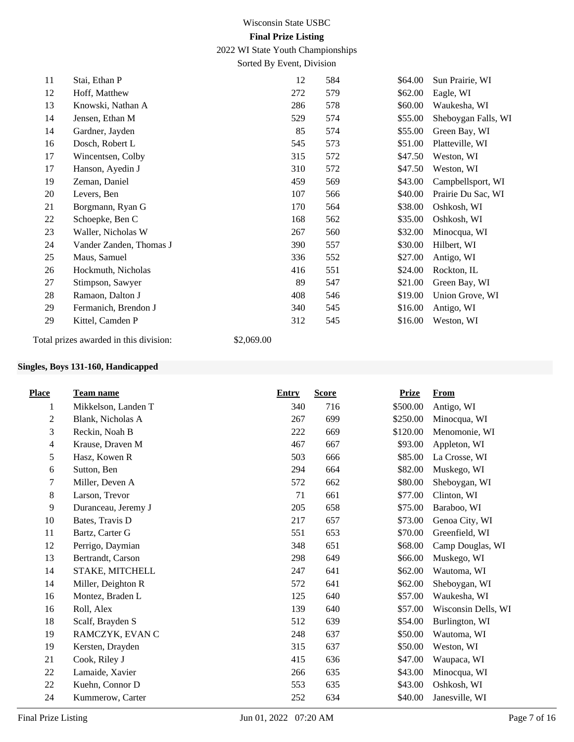2022 WI State Youth Championships

Sorted By Event, Division

| 11 | Stai, Ethan P           | 12  | 584 | \$64.00 | Sun Prairie, WI     |
|----|-------------------------|-----|-----|---------|---------------------|
| 12 | Hoff, Matthew           | 272 | 579 | \$62.00 | Eagle, WI           |
| 13 | Knowski, Nathan A       | 286 | 578 | \$60.00 | Waukesha, WI        |
| 14 | Jensen, Ethan M         | 529 | 574 | \$55.00 | Sheboygan Falls, WI |
| 14 | Gardner, Jayden         | 85  | 574 | \$55.00 | Green Bay, WI       |
| 16 | Dosch, Robert L         | 545 | 573 | \$51.00 | Platteville, WI     |
| 17 | Wincentsen, Colby       | 315 | 572 | \$47.50 | Weston, WI          |
| 17 | Hanson, Ayedin J        | 310 | 572 | \$47.50 | Weston, WI          |
| 19 | Zeman, Daniel           | 459 | 569 | \$43.00 | Campbellsport, WI   |
| 20 | Levers, Ben             | 107 | 566 | \$40.00 | Prairie Du Sac, WI  |
| 21 | Borgmann, Ryan G        | 170 | 564 | \$38.00 | Oshkosh, WI         |
| 22 | Schoepke, Ben C         | 168 | 562 | \$35.00 | Oshkosh, WI         |
| 23 | Waller, Nicholas W      | 267 | 560 | \$32.00 | Minocqua, WI        |
| 24 | Vander Zanden, Thomas J | 390 | 557 | \$30.00 | Hilbert, WI         |
| 25 | Maus, Samuel            | 336 | 552 | \$27.00 | Antigo, WI          |
| 26 | Hockmuth, Nicholas      | 416 | 551 | \$24.00 | Rockton, IL         |
| 27 | Stimpson, Sawyer        | 89  | 547 | \$21.00 | Green Bay, WI       |
| 28 | Ramaon, Dalton J        | 408 | 546 | \$19.00 | Union Grove, WI     |
| 29 | Fermanich, Brendon J    | 340 | 545 | \$16.00 | Antigo, WI          |
| 29 | Kittel, Camden P        | 312 | 545 | \$16.00 | Weston, WI          |
|    |                         |     |     |         |                     |

Total prizes awarded in this division: \$2,069.00

#### **Singles, Boys 131-160, Handicapped**

| <b>Place</b>   | <b>Team name</b>    | <b>Entry</b> | <b>Score</b> | <b>Prize</b> | <b>From</b>         |
|----------------|---------------------|--------------|--------------|--------------|---------------------|
| 1              | Mikkelson, Landen T | 340          | 716          | \$500.00     | Antigo, WI          |
| $\overline{c}$ | Blank, Nicholas A   | 267          | 699          | \$250.00     | Minocqua, WI        |
| 3              | Reckin, Noah B      | 222          | 669          | \$120.00     | Menomonie, WI       |
| $\overline{4}$ | Krause, Draven M    | 467          | 667          | \$93.00      | Appleton, WI        |
| 5              | Hasz, Kowen R       | 503          | 666          | \$85.00      | La Crosse, WI       |
| 6              | Sutton, Ben         | 294          | 664          | \$82.00      | Muskego, WI         |
| 7              | Miller, Deven A     | 572          | 662          | \$80.00      | Sheboygan, WI       |
| 8              | Larson, Trevor      | 71           | 661          | \$77.00      | Clinton, WI         |
| 9              | Duranceau, Jeremy J | 205          | 658          | \$75.00      | Baraboo, WI         |
| 10             | Bates, Travis D     | 217          | 657          | \$73.00      | Genoa City, WI      |
| 11             | Bartz, Carter G     | 551          | 653          | \$70.00      | Greenfield, WI      |
| 12             | Perrigo, Daymian    | 348          | 651          | \$68.00      | Camp Douglas, WI    |
| 13             | Bertrandt, Carson   | 298          | 649          | \$66.00      | Muskego, WI         |
| 14             | STAKE, MITCHELL     | 247          | 641          | \$62.00      | Wautoma, WI         |
| 14             | Miller, Deighton R  | 572          | 641          | \$62.00      | Sheboygan, WI       |
| 16             | Montez, Braden L    | 125          | 640          | \$57.00      | Waukesha, WI        |
| 16             | Roll, Alex          | 139          | 640          | \$57.00      | Wisconsin Dells, WI |
| 18             | Scalf, Brayden S    | 512          | 639          | \$54.00      | Burlington, WI      |
| 19             | RAMCZYK, EVAN C     | 248          | 637          | \$50.00      | Wautoma, WI         |
| 19             | Kersten, Drayden    | 315          | 637          | \$50.00      | Weston, WI          |
| 21             | Cook, Riley J       | 415          | 636          | \$47.00      | Waupaca, WI         |
| 22             | Lamaide, Xavier     | 266          | 635          | \$43.00      | Minocqua, WI        |
| 22             | Kuehn, Connor D     | 553          | 635          | \$43.00      | Oshkosh, WI         |
| 24             | Kummerow, Carter    | 252          | 634          | \$40.00      | Janesville, WI      |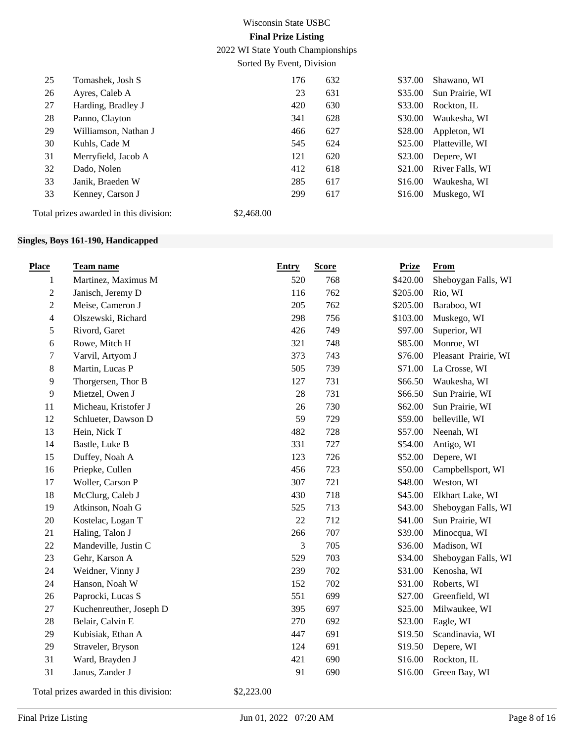2022 WI State Youth Championships

Sorted By Event, Division

| 25 | Tomashek, Josh S     | 176 | 632 | \$37.00 | Shawano, WI     |
|----|----------------------|-----|-----|---------|-----------------|
| 26 | Ayres, Caleb A       | 23  | 631 | \$35.00 | Sun Prairie, WI |
| 27 | Harding, Bradley J   | 420 | 630 | \$33.00 | Rockton, IL     |
| 28 | Panno, Clayton       | 341 | 628 | \$30.00 | Waukesha, WI    |
| 29 | Williamson, Nathan J | 466 | 627 | \$28.00 | Appleton, WI    |
| 30 | Kuhls, Cade M        | 545 | 624 | \$25.00 | Platteville, WI |
| 31 | Merryfield, Jacob A  | 121 | 620 | \$23.00 | Depere, WI      |
| 32 | Dado, Nolen          | 412 | 618 | \$21.00 | River Falls, WI |
| 33 | Janik, Braeden W     | 285 | 617 | \$16.00 | Waukesha, WI    |
| 33 | Kenney, Carson J     | 299 | 617 | \$16.00 | Muskego, WI     |
|    |                      |     |     |         |                 |

Total prizes awarded in this division: \$2,468.00

#### **Singles, Boys 161-190, Handicapped**

| <b>Place</b>     | Team name               | <b>Entry</b> | <b>Score</b> | <b>Prize</b> | <b>From</b>          |
|------------------|-------------------------|--------------|--------------|--------------|----------------------|
| 1                | Martinez, Maximus M     | 520          | 768          | \$420.00     | Sheboygan Falls, WI  |
| $\sqrt{2}$       | Janisch, Jeremy D       | 116          | 762          | \$205.00     | Rio, WI              |
| $\boldsymbol{2}$ | Meise, Cameron J        | 205          | 762          | \$205.00     | Baraboo, WI          |
| $\overline{4}$   | Olszewski, Richard      | 298          | 756          | \$103.00     | Muskego, WI          |
| 5                | Rivord, Garet           | 426          | 749          | \$97.00      | Superior, WI         |
| 6                | Rowe, Mitch H           | 321          | 748          | \$85.00      | Monroe, WI           |
| $\tau$           | Varvil, Artyom J        | 373          | 743          | \$76.00      | Pleasant Prairie, WI |
| $8\,$            | Martin, Lucas P         | 505          | 739          | \$71.00      | La Crosse, WI        |
| 9                | Thorgersen, Thor B      | 127          | 731          | \$66.50      | Waukesha, WI         |
| $\overline{9}$   | Mietzel, Owen J         | 28           | 731          | \$66.50      | Sun Prairie, WI      |
| 11               | Micheau, Kristofer J    | 26           | 730          | \$62.00      | Sun Prairie, WI      |
| 12               | Schlueter, Dawson D     | 59           | 729          | \$59.00      | belleville, WI       |
| 13               | Hein, Nick T            | 482          | 728          | \$57.00      | Neenah, WI           |
| 14               | Bastle, Luke B          | 331          | 727          | \$54.00      | Antigo, WI           |
| 15               | Duffey, Noah A          | 123          | 726          | \$52.00      | Depere, WI           |
| 16               | Priepke, Cullen         | 456          | 723          | \$50.00      | Campbellsport, WI    |
| 17               | Woller, Carson P        | 307          | 721          | \$48.00      | Weston, WI           |
| 18               | McClurg, Caleb J        | 430          | 718          | \$45.00      | Elkhart Lake, WI     |
| 19               | Atkinson, Noah G        | 525          | 713          | \$43.00      | Sheboygan Falls, WI  |
| 20               | Kostelac, Logan T       | 22           | 712          | \$41.00      | Sun Prairie, WI      |
| 21               | Haling, Talon J         | 266          | 707          | \$39.00      | Minocqua, WI         |
| 22               | Mandeville, Justin C    | 3            | 705          | \$36.00      | Madison, WI          |
| 23               | Gehr, Karson A          | 529          | 703          | \$34.00      | Sheboygan Falls, WI  |
| 24               | Weidner, Vinny J        | 239          | 702          | \$31.00      | Kenosha, WI          |
| 24               | Hanson, Noah W          | 152          | 702          | \$31.00      | Roberts, WI          |
| 26               | Paprocki, Lucas S       | 551          | 699          | \$27.00      | Greenfield, WI       |
| 27               | Kuchenreuther, Joseph D | 395          | 697          | \$25.00      | Milwaukee, WI        |
| 28               | Belair, Calvin E        | 270          | 692          | \$23.00      | Eagle, WI            |
| 29               | Kubisiak, Ethan A       | 447          | 691          | \$19.50      | Scandinavia, WI      |
| 29               | Straveler, Bryson       | 124          | 691          | \$19.50      | Depere, WI           |
| 31               | Ward, Brayden J         | 421          | 690          | \$16.00      | Rockton, IL          |
| 31               | Janus, Zander J         | 91           | 690          | \$16.00      | Green Bay, WI        |

Total prizes awarded in this division: \$2,223.00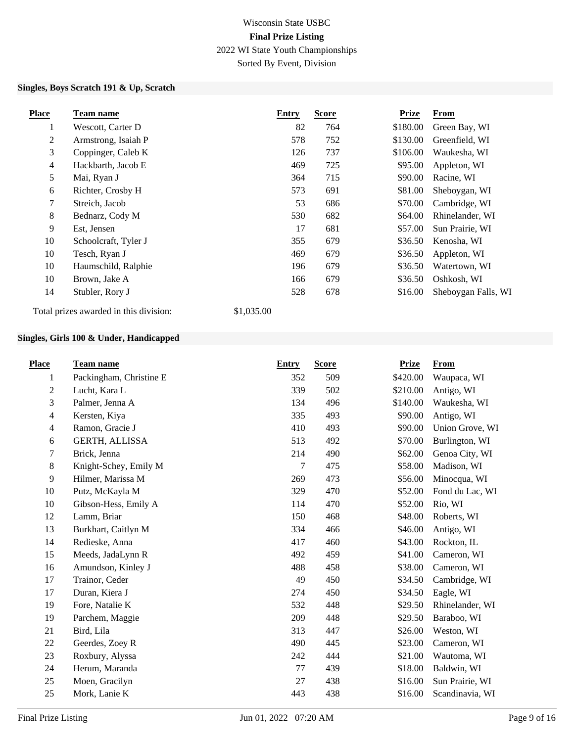## Wisconsin State USBC **Final Prize Listing** 2022 WI State Youth Championships Sorted By Event, Division

#### **Singles, Boys Scratch 191 & Up, Scratch**

| <b>Place</b>   | Team name            | Entry | <b>Score</b> | Prize    | <b>From</b>         |
|----------------|----------------------|-------|--------------|----------|---------------------|
| 1              | Wescott, Carter D    | 82    | 764          | \$180.00 | Green Bay, WI       |
| 2              | Armstrong, Isaiah P  | 578   | 752          | \$130.00 | Greenfield, WI      |
| 3              | Coppinger, Caleb K   | 126   | 737          | \$106.00 | Waukesha, WI        |
| $\overline{4}$ | Hackbarth, Jacob E   | 469   | 725          | \$95.00  | Appleton, WI        |
| 5              | Mai, Ryan J          | 364   | 715          | \$90.00  | Racine, WI          |
| 6              | Richter, Crosby H    | 573   | 691          | \$81.00  | Sheboygan, WI       |
| $\tau$         | Streich, Jacob       | 53    | 686          | \$70.00  | Cambridge, WI       |
| 8              | Bednarz, Cody M      | 530   | 682          | \$64.00  | Rhinelander, WI     |
| 9              | Est, Jensen          | 17    | 681          | \$57.00  | Sun Prairie, WI     |
| 10             | Schoolcraft, Tyler J | 355   | 679          | \$36.50  | Kenosha, WI         |
| 10             | Tesch, Ryan J        | 469   | 679          | \$36.50  | Appleton, WI        |
| 10             | Haumschild, Ralphie  | 196   | 679          | \$36.50  | Watertown, WI       |
| 10             | Brown, Jake A        | 166   | 679          | \$36.50  | Oshkosh, WI         |
| 14             | Stubler, Rory J      | 528   | 678          | \$16.00  | Sheboygan Falls, WI |

Total prizes awarded in this division: \$1,035.00

#### **Singles, Girls 100 & Under, Handicapped**

| <b>Place</b>   | Team name               | Entry | <b>Score</b> | <b>Prize</b> | <b>From</b>     |
|----------------|-------------------------|-------|--------------|--------------|-----------------|
| 1              | Packingham, Christine E | 352   | 509          | \$420.00     | Waupaca, WI     |
| $\sqrt{2}$     | Lucht, Kara L           | 339   | 502          | \$210.00     | Antigo, WI      |
| $\overline{3}$ | Palmer, Jenna A         | 134   | 496          | \$140.00     | Waukesha, WI    |
| $\overline{4}$ | Kersten, Kiya           | 335   | 493          | \$90.00      | Antigo, WI      |
| $\overline{4}$ | Ramon, Gracie J         | 410   | 493          | \$90.00      | Union Grove, WI |
| 6              | GERTH, ALLISSA          | 513   | 492          | \$70.00      | Burlington, WI  |
| 7              | Brick, Jenna            | 214   | 490          | \$62.00      | Genoa City, WI  |
| $8\,$          | Knight-Schey, Emily M   | 7     | 475          | \$58.00      | Madison, WI     |
| 9              | Hilmer, Marissa M       | 269   | 473          | \$56.00      | Minocqua, WI    |
| 10             | Putz, McKayla M         | 329   | 470          | \$52.00      | Fond du Lac, WI |
| 10             | Gibson-Hess, Emily A    | 114   | 470          | \$52.00      | Rio, WI         |
| 12             | Lamm, Briar             | 150   | 468          | \$48.00      | Roberts, WI     |
| 13             | Burkhart, Caitlyn M     | 334   | 466          | \$46.00      | Antigo, WI      |
| 14             | Redieske, Anna          | 417   | 460          | \$43.00      | Rockton, IL     |
| 15             | Meeds, JadaLynn R       | 492   | 459          | \$41.00      | Cameron, WI     |
| 16             | Amundson, Kinley J      | 488   | 458          | \$38.00      | Cameron, WI     |
| 17             | Trainor, Ceder          | 49    | 450          | \$34.50      | Cambridge, WI   |
| 17             | Duran, Kiera J          | 274   | 450          | \$34.50      | Eagle, WI       |
| 19             | Fore, Natalie K         | 532   | 448          | \$29.50      | Rhinelander, WI |
| 19             | Parchem, Maggie         | 209   | 448          | \$29.50      | Baraboo, WI     |
| 21             | Bird, Lila              | 313   | 447          | \$26.00      | Weston, WI      |
| $22\,$         | Geerdes, Zoey R         | 490   | 445          | \$23.00      | Cameron, WI     |
| 23             | Roxbury, Alyssa         | 242   | 444          | \$21.00      | Wautoma, WI     |
| 24             | Herum, Maranda          | 77    | 439          | \$18.00      | Baldwin, WI     |
| 25             | Moen, Gracilyn          | 27    | 438          | \$16.00      | Sun Prairie, WI |
| 25             | Mork, Lanie K           | 443   | 438          | \$16.00      | Scandinavia, WI |
|                |                         |       |              |              |                 |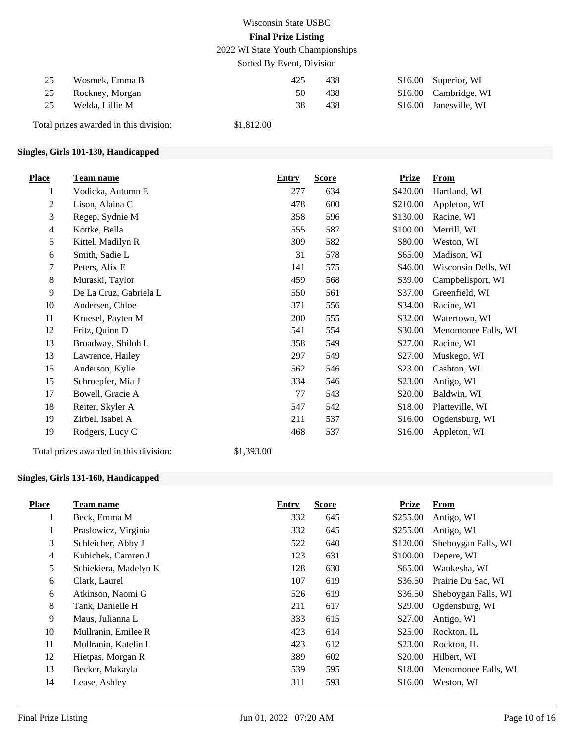2022 WI State Youth Championships

Sorted By Event, Division

| 25 | Wosmek, Emma B  | 425 | 438 | \$16.00 Superior, WI   |
|----|-----------------|-----|-----|------------------------|
| 25 | Rockney, Morgan | 50  | 438 | \$16.00 Cambridge, WI  |
| 25 | Welda. Lillie M | 38  | 438 | \$16.00 Janesville, WI |
|    |                 |     |     |                        |

Total prizes awarded in this division: \$1,812.00

#### **Singles, Girls 101-130, Handicapped**

| <b>Place</b>   | <b>Team name</b>       | <b>Entry</b> | <b>Score</b> | <b>Prize</b> | <b>From</b>         |
|----------------|------------------------|--------------|--------------|--------------|---------------------|
| 1              | Vodicka, Autumn E      | 277          | 634          | \$420.00     | Hartland, WI        |
| 2              | Lison, Alaina C        | 478          | 600          | \$210.00     | Appleton, WI        |
| 3              | Regep, Sydnie M        | 358          | 596          | \$130.00     | Racine, WI          |
| $\overline{4}$ | Kottke, Bella          | 555          | 587          | \$100.00     | Merrill, WI         |
| 5              | Kittel, Madilyn R      | 309          | 582          | \$80.00      | Weston, WI          |
| 6              | Smith, Sadie L         | 31           | 578          | \$65.00      | Madison, WI         |
| $\overline{7}$ | Peters, Alix E         | 141          | 575          | \$46.00      | Wisconsin Dells, WI |
| 8              | Muraski, Taylor        | 459          | 568          | \$39.00      | Campbellsport, WI   |
| 9              | De La Cruz, Gabriela L | 550          | 561          | \$37.00      | Greenfield, WI      |
| 10             | Andersen, Chloe        | 371          | 556          | \$34.00      | Racine, WI          |
| 11             | Kruesel, Payten M      | 200          | 555          | \$32.00      | Watertown, WI       |
| 12             | Fritz, Quinn D         | 541          | 554          | \$30.00      | Menomonee Falls, WI |
| 13             | Broadway, Shiloh L     | 358          | 549          | \$27.00      | Racine, WI          |
| 13             | Lawrence, Hailey       | 297          | 549          | \$27.00      | Muskego, WI         |
| 15             | Anderson, Kylie        | 562          | 546          | \$23.00      | Cashton, WI         |
| 15             | Schroepfer, Mia J      | 334          | 546          | \$23.00      | Antigo, WI          |
| 17             | Bowell, Gracie A       | 77           | 543          | \$20.00      | Baldwin, WI         |
| 18             | Reiter, Skyler A       | 547          | 542          | \$18.00      | Platteville, WI     |
| 19             | Zirbel, Isabel A       | 211          | 537          | \$16.00      | Ogdensburg, WI      |
| 19             | Rodgers, Lucy C        | 468          | 537          | \$16.00      | Appleton, WI        |

Total prizes awarded in this division: \$1,393.00

#### **Singles, Girls 131-160, Handicapped**

| <b>Place</b> | Team name             | Entry | <b>Score</b> | <b>Prize</b> | From                |
|--------------|-----------------------|-------|--------------|--------------|---------------------|
| $\perp$      | Beck, Emma M          | 332   | 645          | \$255.00     | Antigo, WI          |
| 1            | Praslowicz, Virginia  | 332   | 645          | \$255.00     | Antigo, WI          |
| 3            | Schleicher, Abby J    | 522   | 640          | \$120.00     | Sheboygan Falls, WI |
| 4            | Kubichek, Camren J    | 123   | 631          | \$100.00     | Depere, WI          |
| 5            | Schiekiera, Madelyn K | 128   | 630          | \$65.00      | Waukesha, WI        |
| 6            | Clark, Laurel         | 107   | 619          | \$36.50      | Prairie Du Sac, WI  |
| 6            | Atkinson, Naomi G     | 526   | 619          | \$36.50      | Sheboygan Falls, WI |
| 8            | Tank, Danielle H      | 211   | 617          | \$29.00      | Ogdensburg, WI      |
| 9            | Maus, Julianna L      | 333   | 615          | \$27.00      | Antigo, WI          |
| 10           | Mullranin, Emilee R   | 423   | 614          | \$25.00      | Rockton, IL         |
| 11           | Mullranin, Katelin L  | 423   | 612          | \$23.00      | Rockton, IL         |
| 12           | Hietpas, Morgan R     | 389   | 602          | \$20.00      | Hilbert, WI         |
| 13           | Becker, Makayla       | 539   | 595          | \$18.00      | Menomonee Falls, WI |
| 14           | Lease, Ashley         | 311   | 593          | \$16.00      | Weston, WI          |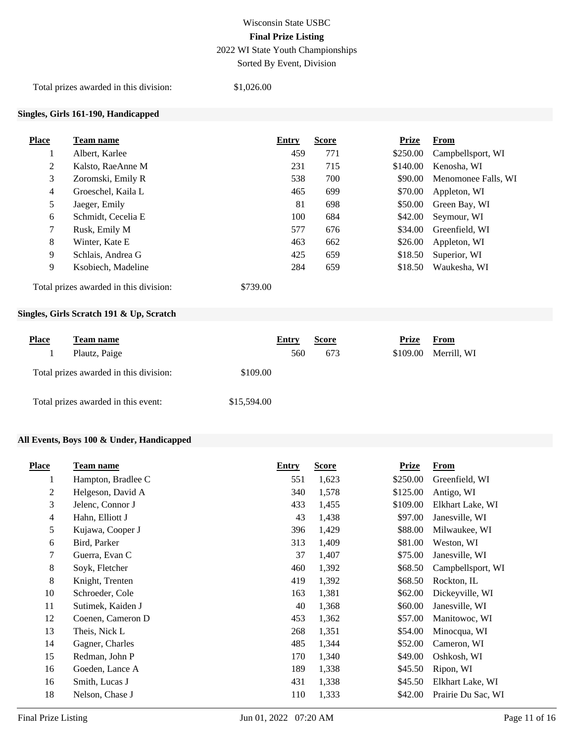2022 WI State Youth Championships

Sorted By Event, Division

Total prizes awarded in this division: \$1,026.00

#### **Singles, Girls 161-190, Handicapped**

| <b>Place</b> | <b>Team name</b>                       | Entry    | <b>Score</b> | <b>Prize</b> | <b>From</b>         |
|--------------|----------------------------------------|----------|--------------|--------------|---------------------|
| 1            | Albert, Karlee                         | 459      | 771          | \$250.00     | Campbellsport, WI   |
| 2            | Kalsto, RaeAnne M                      | 231      | 715          | \$140.00     | Kenosha. WI         |
| 3            | Zoromski, Emily R                      | 538      | 700          | \$90.00      | Menomonee Falls, WI |
| 4            | Groeschel, Kaila L                     | 465      | 699          | \$70.00      | Appleton, WI        |
| 5            | Jaeger, Emily                          | 81       | 698          | \$50.00      | Green Bay, WI       |
| 6            | Schmidt, Cecelia E                     | 100      | 684          | \$42.00      | Seymour, WI         |
| $\tau$       | Rusk, Emily M                          | 577      | 676          | \$34.00      | Greenfield, WI      |
| 8            | Winter, Kate E                         | 463      | 662          | \$26.00      | Appleton, WI        |
| 9            | Schlais, Andrea G                      | 425      | 659          | \$18.50      | Superior, WI        |
| 9            | Ksobiech, Madeline                     | 284      | 659          | \$18.50      | Waukesha, WI        |
|              | Total prizes awarded in this division: | \$739.00 |              |              |                     |

#### **Singles, Girls Scratch 191 & Up, Scratch**

| <b>Place</b> | Team name                              |             | Entry | <b>Score</b> | <b>Prize</b> | From        |
|--------------|----------------------------------------|-------------|-------|--------------|--------------|-------------|
|              | Plautz, Paige                          |             | 560   | 673          | \$109.00     | Merrill, WI |
|              | Total prizes awarded in this division: | \$109.00    |       |              |              |             |
|              | Total prizes awarded in this event:    | \$15,594.00 |       |              |              |             |

#### **All Events, Boys 100 & Under, Handicapped**

| <b>Place</b>   | Team name          | <b>Entry</b> | <b>Score</b> | <b>Prize</b> | From               |
|----------------|--------------------|--------------|--------------|--------------|--------------------|
| 1              | Hampton, Bradlee C | 551          | 1,623        | \$250.00     | Greenfield, WI     |
| $\overline{c}$ | Helgeson, David A  | 340          | 1,578        | \$125.00     | Antigo, WI         |
| 3              | Jelenc, Connor J   | 433          | 1,455        | \$109.00     | Elkhart Lake, WI   |
| $\overline{4}$ | Hahn, Elliott J    | 43           | 1,438        | \$97.00      | Janesville, WI     |
| 5              | Kujawa, Cooper J   | 396          | 1,429        | \$88.00      | Milwaukee, WI      |
| 6              | Bird, Parker       | 313          | 1,409        | \$81.00      | Weston, WI         |
| 7              | Guerra, Evan C     | 37           | 1,407        | \$75.00      | Janesville, WI     |
| 8              | Soyk, Fletcher     | 460          | 1,392        | \$68.50      | Campbellsport, WI  |
| 8              | Knight, Trenten    | 419          | 1,392        | \$68.50      | Rockton, IL        |
| 10             | Schroeder, Cole    | 163          | 1,381        | \$62.00      | Dickeyville, WI    |
| 11             | Sutimek, Kaiden J  | 40           | 1,368        | \$60.00      | Janesville, WI     |
| 12             | Coenen, Cameron D  | 453          | 1,362        | \$57.00      | Manitowoc, WI      |
| 13             | Theis, Nick L      | 268          | 1,351        | \$54.00      | Minocqua, WI       |
| 14             | Gagner, Charles    | 485          | 1,344        | \$52.00      | Cameron, WI        |
| 15             | Redman, John P     | 170          | 1,340        | \$49.00      | Oshkosh, WI        |
| 16             | Goeden, Lance A    | 189          | 1,338        | \$45.50      | Ripon, WI          |
| 16             | Smith, Lucas J     | 431          | 1,338        | \$45.50      | Elkhart Lake, WI   |
| 18             | Nelson, Chase J    | 110          | 1,333        | \$42.00      | Prairie Du Sac, WI |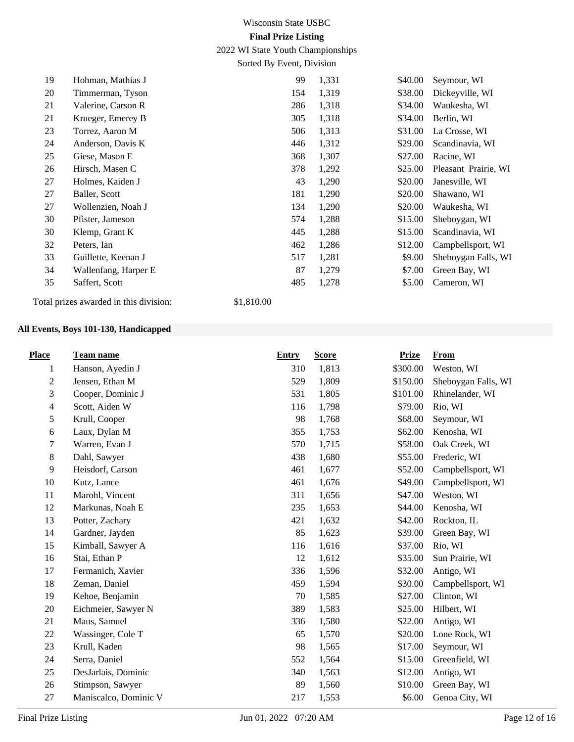2022 WI State Youth Championships

Sorted By Event, Division

| 19 | Hohman, Mathias J    | 99  | 1,331 | \$40.00 | Seymour, WI          |
|----|----------------------|-----|-------|---------|----------------------|
| 20 | Timmerman, Tyson     | 154 | 1,319 | \$38.00 | Dickeyville, WI      |
| 21 | Valerine, Carson R   | 286 | 1,318 | \$34.00 | Waukesha, WI         |
| 21 | Krueger, Emerey B    | 305 | 1,318 | \$34.00 | Berlin, WI           |
| 23 | Torrez, Aaron M      | 506 | 1,313 | \$31.00 | La Crosse, WI        |
| 24 | Anderson, Davis K    | 446 | 1,312 | \$29.00 | Scandinavia, WI      |
| 25 | Giese, Mason E       | 368 | 1,307 | \$27.00 | Racine, WI           |
| 26 | Hirsch, Masen C      | 378 | 1,292 | \$25.00 | Pleasant Prairie, WI |
| 27 | Holmes, Kaiden J     | 43  | 1,290 | \$20.00 | Janesville, WI       |
| 27 | Baller, Scott        | 181 | 1,290 | \$20.00 | Shawano, WI          |
| 27 | Wollenzien, Noah J   | 134 | 1,290 | \$20.00 | Waukesha, WI         |
| 30 | Pfister, Jameson     | 574 | 1,288 | \$15.00 | Sheboygan, WI        |
| 30 | Klemp, Grant K       | 445 | 1,288 | \$15.00 | Scandinavia, WI      |
| 32 | Peters, Ian          | 462 | 1,286 | \$12.00 | Campbellsport, WI    |
| 33 | Guillette, Keenan J  | 517 | 1,281 | \$9.00  | Sheboygan Falls, WI  |
| 34 | Wallenfang, Harper E | 87  | 1,279 | \$7.00  | Green Bay, WI        |
| 35 | Saffert, Scott       | 485 | 1,278 | \$5.00  | Cameron, WI          |
|    |                      |     |       |         |                      |

Total prizes awarded in this division: \$1,810.00

#### **All Events, Boys 101-130, Handicapped**

| <b>Place</b> | Team name             | <b>Entry</b> | <b>Score</b> | <b>Prize</b> | <b>From</b>         |
|--------------|-----------------------|--------------|--------------|--------------|---------------------|
| 1            | Hanson, Ayedin J      | 310          | 1,813        | \$300.00     | Weston, WI          |
| $\mathbf{2}$ | Jensen, Ethan M       | 529          | 1,809        | \$150.00     | Sheboygan Falls, WI |
| 3            | Cooper, Dominic J     | 531          | 1,805        | \$101.00     | Rhinelander, WI     |
| 4            | Scott, Aiden W        | 116          | 1,798        | \$79.00      | Rio, WI             |
| 5            | Krull, Cooper         | 98           | 1,768        | \$68.00      | Seymour, WI         |
| 6            | Laux, Dylan M         | 355          | 1,753        | \$62.00      | Kenosha, WI         |
| 7            | Warren, Evan J        | 570          | 1,715        | \$58.00      | Oak Creek, WI       |
| 8            | Dahl, Sawyer          | 438          | 1,680        | \$55.00      | Frederic, WI        |
| 9            | Heisdorf, Carson      | 461          | 1,677        | \$52.00      | Campbellsport, WI   |
| 10           | Kutz, Lance           | 461          | 1,676        | \$49.00      | Campbellsport, WI   |
| 11           | Marohl, Vincent       | 311          | 1,656        | \$47.00      | Weston, WI          |
| 12           | Markunas, Noah E      | 235          | 1,653        | \$44.00      | Kenosha, WI         |
| 13           | Potter, Zachary       | 421          | 1,632        | \$42.00      | Rockton, IL         |
| 14           | Gardner, Jayden       | 85           | 1,623        | \$39.00      | Green Bay, WI       |
| 15           | Kimball, Sawyer A     | 116          | 1,616        | \$37.00      | Rio, WI             |
| 16           | Stai, Ethan P         | 12           | 1,612        | \$35.00      | Sun Prairie, WI     |
| 17           | Fermanich, Xavier     | 336          | 1,596        | \$32.00      | Antigo, WI          |
| 18           | Zeman, Daniel         | 459          | 1,594        | \$30.00      | Campbellsport, WI   |
| 19           | Kehoe, Benjamin       | 70           | 1,585        | \$27.00      | Clinton, WI         |
| 20           | Eichmeier, Sawyer N   | 389          | 1,583        | \$25.00      | Hilbert, WI         |
| 21           | Maus, Samuel          | 336          | 1,580        | \$22.00      | Antigo, WI          |
| $22\,$       | Wassinger, Cole T     | 65           | 1,570        | \$20.00      | Lone Rock, WI       |
| 23           | Krull, Kaden          | 98           | 1,565        | \$17.00      | Seymour, WI         |
| 24           | Serra, Daniel         | 552          | 1,564        | \$15.00      | Greenfield, WI      |
| 25           | DesJarlais, Dominic   | 340          | 1,563        | \$12.00      | Antigo, WI          |
| 26           | Stimpson, Sawyer      | 89           | 1,560        | \$10.00      | Green Bay, WI       |
| 27           | Maniscalco, Dominic V | 217          | 1,553        | \$6.00       | Genoa City, WI      |
|              |                       |              |              |              |                     |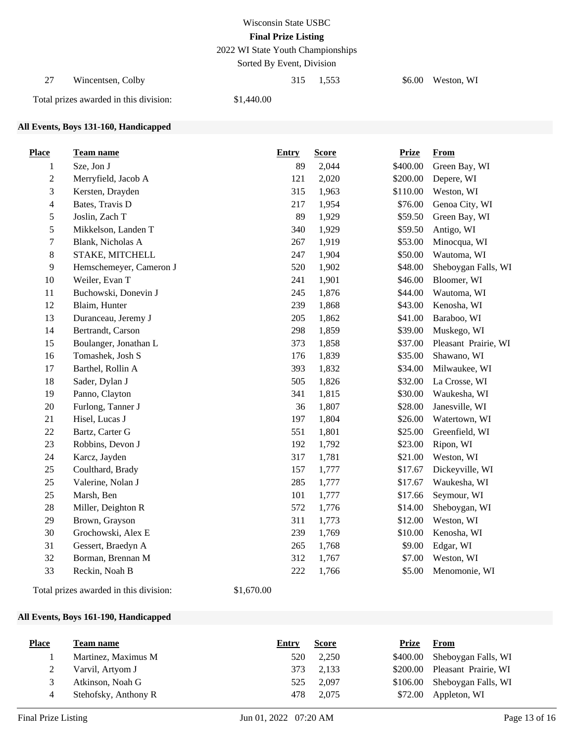2022 WI State Youth Championships

Sorted By Event, Division

| Wincentsen, Colby                      |            | 315 1.553 | \$6.00 Weston, WI |
|----------------------------------------|------------|-----------|-------------------|
| Total prizes awarded in this division: | \$1,440.00 |           |                   |

#### **All Events, Boys 131-160, Handicapped**

| <b>Place</b>     | <b>Team name</b>        | <b>Entry</b> | <b>Score</b> | <b>Prize</b> | <b>From</b>          |
|------------------|-------------------------|--------------|--------------|--------------|----------------------|
| $\mathbf{1}$     | Sze, Jon J              | 89           | 2,044        | \$400.00     | Green Bay, WI        |
| $\boldsymbol{2}$ | Merryfield, Jacob A     | 121          | 2,020        | \$200.00     | Depere, WI           |
| $\mathfrak 3$    | Kersten, Drayden        | 315          | 1,963        | \$110.00     | Weston, WI           |
| $\overline{4}$   | Bates, Travis D         | 217          | 1,954        | \$76.00      | Genoa City, WI       |
| 5                | Joslin, Zach T          | 89           | 1,929        | \$59.50      | Green Bay, WI        |
| 5                | Mikkelson, Landen T     | 340          | 1,929        | \$59.50      | Antigo, WI           |
| $\boldsymbol{7}$ | Blank, Nicholas A       | 267          | 1,919        | \$53.00      | Minocqua, WI         |
| $8\,$            | STAKE, MITCHELL         | 247          | 1,904        | \$50.00      | Wautoma, WI          |
| $\mathbf{9}$     | Hemschemeyer, Cameron J | 520          | 1,902        | \$48.00      | Sheboygan Falls, WI  |
| $10\,$           | Weiler, Evan T          | 241          | 1,901        | \$46.00      | Bloomer, WI          |
| 11               | Buchowski, Donevin J    | 245          | 1,876        | \$44.00      | Wautoma, WI          |
| 12               | Blaim, Hunter           | 239          | 1,868        | \$43.00      | Kenosha, WI          |
| 13               | Duranceau, Jeremy J     | 205          | 1,862        | \$41.00      | Baraboo, WI          |
| 14               | Bertrandt, Carson       | 298          | 1,859        | \$39.00      | Muskego, WI          |
| 15               | Boulanger, Jonathan L   | 373          | 1,858        | \$37.00      | Pleasant Prairie, WI |
| 16               | Tomashek, Josh S        | 176          | 1,839        | \$35.00      | Shawano, WI          |
| 17               | Barthel, Rollin A       | 393          | 1,832        | \$34.00      | Milwaukee, WI        |
| 18               | Sader, Dylan J          | 505          | 1,826        | \$32.00      | La Crosse, WI        |
| 19               | Panno, Clayton          | 341          | 1,815        | \$30.00      | Waukesha, WI         |
| 20               | Furlong, Tanner J       | 36           | 1,807        | \$28.00      | Janesville, WI       |
| 21               | Hisel, Lucas J          | 197          | 1,804        | \$26.00      | Watertown, WI        |
| 22               | Bartz, Carter G         | 551          | 1,801        | \$25.00      | Greenfield, WI       |
| 23               | Robbins, Devon J        | 192          | 1,792        | \$23.00      | Ripon, WI            |
| 24               | Karcz, Jayden           | 317          | 1,781        | \$21.00      | Weston, WI           |
| 25               | Coulthard, Brady        | 157          | 1,777        | \$17.67      | Dickeyville, WI      |
| 25               | Valerine, Nolan J       | 285          | 1,777        | \$17.67      | Waukesha, WI         |
| 25               | Marsh, Ben              | 101          | 1,777        | \$17.66      | Seymour, WI          |
| $28\,$           | Miller, Deighton R      | 572          | 1,776        | \$14.00      | Sheboygan, WI        |
| 29               | Brown, Grayson          | 311          | 1,773        | \$12.00      | Weston, WI           |
| 30               | Grochowski, Alex E      | 239          | 1,769        | \$10.00      | Kenosha, WI          |
| 31               | Gessert, Braedyn A      | 265          | 1,768        | \$9.00       | Edgar, WI            |
| 32               | Borman, Brennan M       | 312          | 1,767        | \$7.00       | Weston, WI           |
| 33               | Reckin, Noah B          | 222          | 1,766        | \$5.00       | Menomonie, WI        |

Total prizes awarded in this division: \$1,670.00

#### **All Events, Boys 161-190, Handicapped**

| <b>Place</b>  | Team name            | Entry | <b>Score</b> | Prize | <b>From</b>                   |
|---------------|----------------------|-------|--------------|-------|-------------------------------|
|               | Martinez, Maximus M  | 520   | 2,250        |       | \$400.00 Sheboygan Falls, WI  |
|               | Varvil, Artyom J     | 373   | 2.133        |       | \$200.00 Pleasant Prairie, WI |
| $\mathcal{R}$ | Atkinson, Noah G     | 525   | 2.097        |       | \$106.00 Sheboygan Falls, WI  |
|               | Stehofsky, Anthony R | 478   | 2.075        |       | \$72.00 Appleton, WI          |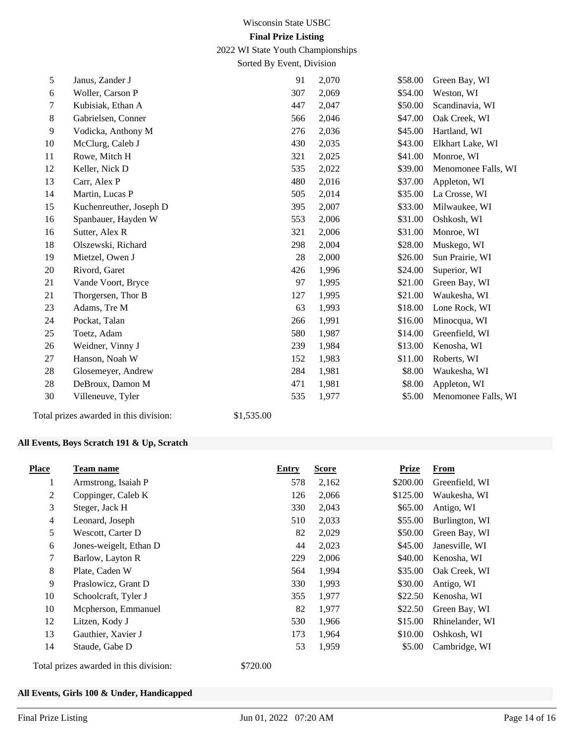2022 WI State Youth Championships

Sorted By Event, Division

| 5     | Janus, Zander J         | 91  | 2,070 | \$58.00 | Green Bay, WI       |
|-------|-------------------------|-----|-------|---------|---------------------|
| 6     | Woller, Carson P        | 307 | 2,069 | \$54.00 | Weston, WI          |
| 7     | Kubisiak, Ethan A       | 447 | 2,047 | \$50.00 | Scandinavia, WI     |
| $8\,$ | Gabrielsen, Conner      | 566 | 2,046 | \$47.00 | Oak Creek, WI       |
| 9     | Vodicka, Anthony M      | 276 | 2,036 | \$45.00 | Hartland, WI        |
| 10    | McClurg, Caleb J        | 430 | 2,035 | \$43.00 | Elkhart Lake, WI    |
| 11    | Rowe, Mitch H           | 321 | 2,025 | \$41.00 | Monroe, WI          |
| 12    | Keller, Nick D          | 535 | 2,022 | \$39.00 | Menomonee Falls, WI |
| 13    | Carr, Alex P            | 480 | 2,016 | \$37.00 | Appleton, WI        |
| 14    | Martin, Lucas P         | 505 | 2,014 | \$35.00 | La Crosse, WI       |
| 15    | Kuchenreuther, Joseph D | 395 | 2,007 | \$33.00 | Milwaukee, WI       |
| 16    | Spanbauer, Hayden W     | 553 | 2,006 | \$31.00 | Oshkosh, WI         |
| 16    | Sutter, Alex R          | 321 | 2,006 | \$31.00 | Monroe, WI          |
| 18    | Olszewski, Richard      | 298 | 2,004 | \$28.00 | Muskego, WI         |
| 19    | Mietzel, Owen J         | 28  | 2,000 | \$26.00 | Sun Prairie, WI     |
| 20    | Rivord, Garet           | 426 | 1,996 | \$24.00 | Superior, WI        |
| 21    | Vande Voort, Bryce      | 97  | 1,995 | \$21.00 | Green Bay, WI       |
| 21    | Thorgersen, Thor B      | 127 | 1,995 | \$21.00 | Waukesha, WI        |
| 23    | Adams, Tre M            | 63  | 1,993 | \$18.00 | Lone Rock, WI       |
| 24    | Pockat, Talan           | 266 | 1,991 | \$16.00 | Minocqua, WI        |
| 25    | Toetz, Adam             | 580 | 1,987 | \$14.00 | Greenfield, WI      |
| 26    | Weidner, Vinny J        | 239 | 1,984 | \$13.00 | Kenosha, WI         |
| 27    | Hanson, Noah W          | 152 | 1,983 | \$11.00 | Roberts, WI         |
| 28    | Glosemeyer, Andrew      | 284 | 1,981 | \$8.00  | Waukesha, WI        |
| 28    | DeBroux, Damon M        | 471 | 1,981 | \$8.00  | Appleton, WI        |
| 30    | Villeneuve, Tyler       | 535 | 1,977 | \$5.00  | Menomonee Falls, WI |

Total prizes awarded in this division: \$1,535.00

#### **All Events, Boys Scratch 191 & Up, Scratch**

| <b>Place</b>   | Team name                                          | <b>Entry</b> | <b>Score</b> | Prize    | From            |
|----------------|----------------------------------------------------|--------------|--------------|----------|-----------------|
| 1              | Armstrong, Isaiah P                                | 578          | 2,162        | \$200.00 | Greenfield, WI  |
| 2              | Coppinger, Caleb K                                 | 126          | 2,066        | \$125.00 | Waukesha, WI    |
| 3              | Steger, Jack H                                     | 330          | 2,043        | \$65.00  | Antigo, WI      |
| $\overline{4}$ | Leonard, Joseph                                    | 510          | 2,033        | \$55.00  | Burlington, WI  |
| 5              | Wescott, Carter D                                  | 82           | 2,029        | \$50.00  | Green Bay, WI   |
| 6              | Jones-weigelt, Ethan D                             | 44           | 2,023        | \$45.00  | Janesville, WI  |
| 7              | Barlow, Layton R                                   | 229          | 2,006        | \$40.00  | Kenosha, WI     |
| 8              | Plate, Caden W                                     | 564          | 1,994        | \$35.00  | Oak Creek, WI   |
| 9              | Praslowicz, Grant D                                | 330          | 1,993        | \$30.00  | Antigo, WI      |
| 10             | Schoolcraft, Tyler J                               | 355          | 1,977        | \$22.50  | Kenosha, WI     |
| 10             | Mcpherson, Emmanuel                                | 82           | 1,977        | \$22.50  | Green Bay, WI   |
| 12             | Litzen, Kody J                                     | 530          | 1,966        | \$15.00  | Rhinelander, WI |
| 13             | Gauthier, Xavier J                                 | 173          | 1,964        | \$10.00  | Oshkosh, WI     |
| 14             | Staude, Gabe D                                     | 53           | 1,959        | \$5.00   | Cambridge, WI   |
|                | \$720.00<br>Total prizes awarded in this division: |              |              |          |                 |

#### **All Events, Girls 100 & Under, Handicapped**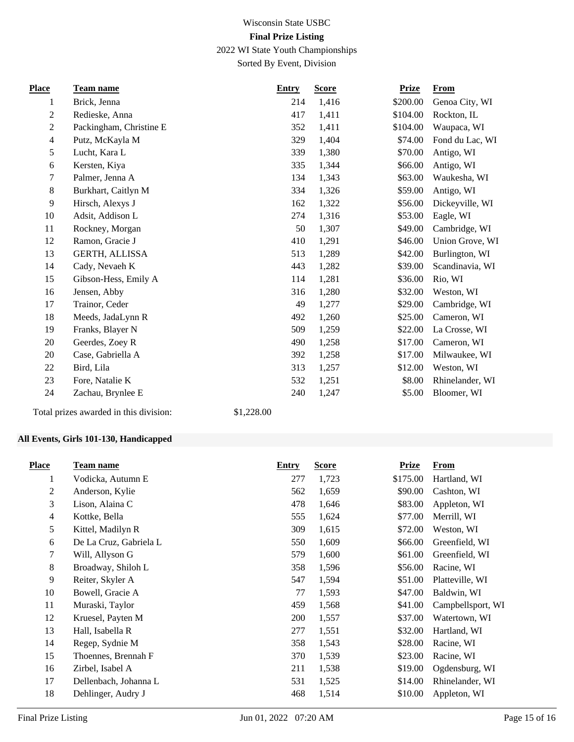2022 WI State Youth Championships

Sorted By Event, Division

| <b>Place</b>   | <b>Team name</b>        | <b>Entry</b> | <b>Score</b> | <b>Prize</b> | <b>From</b>     |
|----------------|-------------------------|--------------|--------------|--------------|-----------------|
| 1              | Brick, Jenna            | 214          | 1,416        | \$200.00     | Genoa City, WI  |
| 2              | Redieske, Anna          | 417          | 1,411        | \$104.00     | Rockton, IL     |
| $\overline{c}$ | Packingham, Christine E | 352          | 1,411        | \$104.00     | Waupaca, WI     |
| $\overline{4}$ | Putz, McKayla M         | 329          | 1,404        | \$74.00      | Fond du Lac, WI |
| 5              | Lucht, Kara L           | 339          | 1,380        | \$70.00      | Antigo, WI      |
| 6              | Kersten, Kiya           | 335          | 1,344        | \$66.00      | Antigo, WI      |
| 7              | Palmer, Jenna A         | 134          | 1,343        | \$63.00      | Waukesha, WI    |
| 8              | Burkhart, Caitlyn M     | 334          | 1,326        | \$59.00      | Antigo, WI      |
| 9              | Hirsch, Alexys J        | 162          | 1,322        | \$56.00      | Dickeyville, WI |
| 10             | Adsit, Addison L        | 274          | 1,316        | \$53.00      | Eagle, WI       |
| 11             | Rockney, Morgan         | 50           | 1,307        | \$49.00      | Cambridge, WI   |
| 12             | Ramon, Gracie J         | 410          | 1,291        | \$46.00      | Union Grove, WI |
| 13             | <b>GERTH, ALLISSA</b>   | 513          | 1,289        | \$42.00      | Burlington, WI  |
| 14             | Cady, Nevaeh K          | 443          | 1,282        | \$39.00      | Scandinavia, WI |
| 15             | Gibson-Hess, Emily A    | 114          | 1,281        | \$36.00      | Rio, WI         |
| 16             | Jensen, Abby            | 316          | 1,280        | \$32.00      | Weston, WI      |
| 17             | Trainor, Ceder          | 49           | 1,277        | \$29.00      | Cambridge, WI   |
| 18             | Meeds, JadaLynn R       | 492          | 1,260        | \$25.00      | Cameron, WI     |
| 19             | Franks, Blayer N        | 509          | 1,259        | \$22.00      | La Crosse, WI   |
| 20             | Geerdes, Zoey R         | 490          | 1,258        | \$17.00      | Cameron, WI     |
| 20             | Case, Gabriella A       | 392          | 1,258        | \$17.00      | Milwaukee, WI   |
| 22             | Bird, Lila              | 313          | 1,257        | \$12.00      | Weston, WI      |
| 23             | Fore, Natalie K         | 532          | 1,251        | \$8.00       | Rhinelander, WI |
| 24             | Zachau, Brynlee E       | 240          | 1,247        | \$5.00       | Bloomer, WI     |
|                |                         |              |              |              |                 |

Total prizes awarded in this division: \$1,228.00

#### **All Events, Girls 101-130, Handicapped**

| <b>Place</b>   | Team name              | <b>Entry</b> | <b>Score</b> | <b>Prize</b> | <b>From</b>       |
|----------------|------------------------|--------------|--------------|--------------|-------------------|
| $\bf{l}$       | Vodicka, Autumn E      | 277          | 1,723        | \$175.00     | Hartland, WI      |
| $\overline{2}$ | Anderson, Kylie        | 562          | 1,659        | \$90.00      | Cashton, WI       |
| 3              | Lison, Alaina C        | 478          | 1,646        | \$83.00      | Appleton, WI      |
| $\overline{4}$ | Kottke, Bella          | 555          | 1,624        | \$77.00      | Merrill, WI       |
| 5              | Kittel, Madilyn R      | 309          | 1,615        | \$72.00      | Weston, WI        |
| 6              | De La Cruz, Gabriela L | 550          | 1,609        | \$66.00      | Greenfield, WI    |
| 7              | Will, Allyson G        | 579          | 1,600        | \$61.00      | Greenfield, WI    |
| $\,8\,$        | Broadway, Shiloh L     | 358          | 1,596        | \$56.00      | Racine, WI        |
| 9              | Reiter, Skyler A       | 547          | 1,594        | \$51.00      | Platteville, WI   |
| 10             | Bowell, Gracie A       | 77           | 1,593        | \$47.00      | Baldwin, WI       |
| 11             | Muraski, Taylor        | 459          | 1,568        | \$41.00      | Campbellsport, WI |
| 12             | Kruesel, Payten M      | 200          | 1,557        | \$37.00      | Watertown, WI     |
| 13             | Hall, Isabella R       | 277          | 1,551        | \$32.00      | Hartland, WI      |
| 14             | Regep, Sydnie M        | 358          | 1,543        | \$28.00      | Racine, WI        |
| 15             | Thoennes, Brennah F    | 370          | 1,539        | \$23.00      | Racine, WI        |
| 16             | Zirbel, Isabel A       | 211          | 1,538        | \$19.00      | Ogdensburg, WI    |
| 17             | Dellenbach, Johanna L  | 531          | 1,525        | \$14.00      | Rhinelander, WI   |
| 18             | Dehlinger, Audry J     | 468          | 1,514        | \$10.00      | Appleton, WI      |